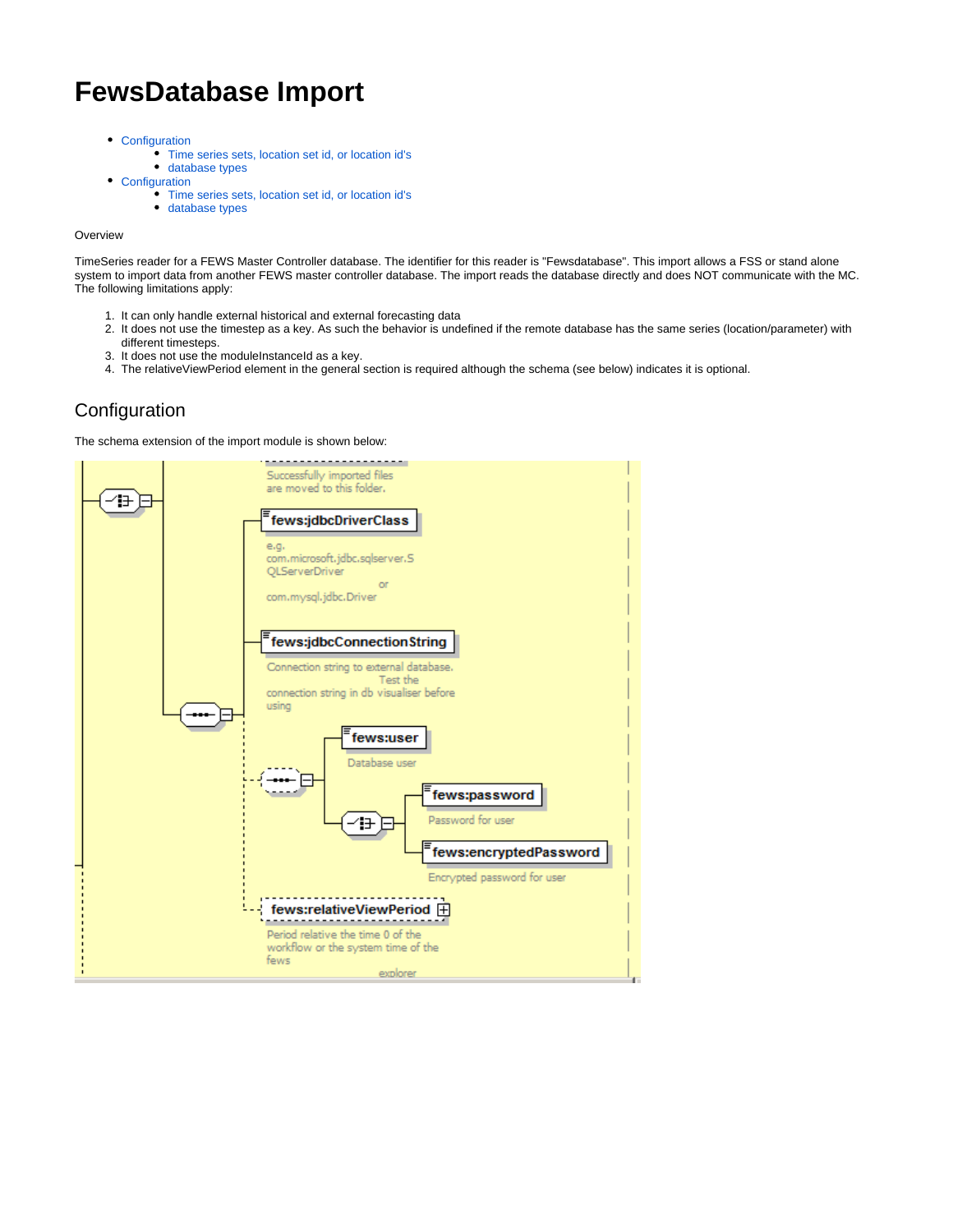# **FewsDatabase Import**

- [Configuration](#page-0-0)
	- [Time series sets, location set id, or location id's](#page-1-0)
	- [database types](#page-2-0)
- [Configuration](#page-2-1)
	- [Time series sets, location set id, or location id's](#page-3-0)
	- [database types](#page-4-0)

#### **Overview**

TimeSeries reader for a FEWS Master Controller database. The identifier for this reader is "Fewsdatabase". This import allows a FSS or stand alone system to import data from another FEWS master controller database. The import reads the database directly and does NOT communicate with the MC. The following limitations apply:

- 1. It can only handle external historical and external forecasting data
- 2. It does not use the timestep as a key. As such the behavior is undefined if the remote database has the same series (location/parameter) with different timesteps.
- 3. It does not use the moduleInstanceId as a key.
- 4. The relativeViewPeriod element in the general section is required although the schema (see below) indicates it is optional.

## <span id="page-0-0"></span>**Configuration**

The schema extension of the import module is shown below:

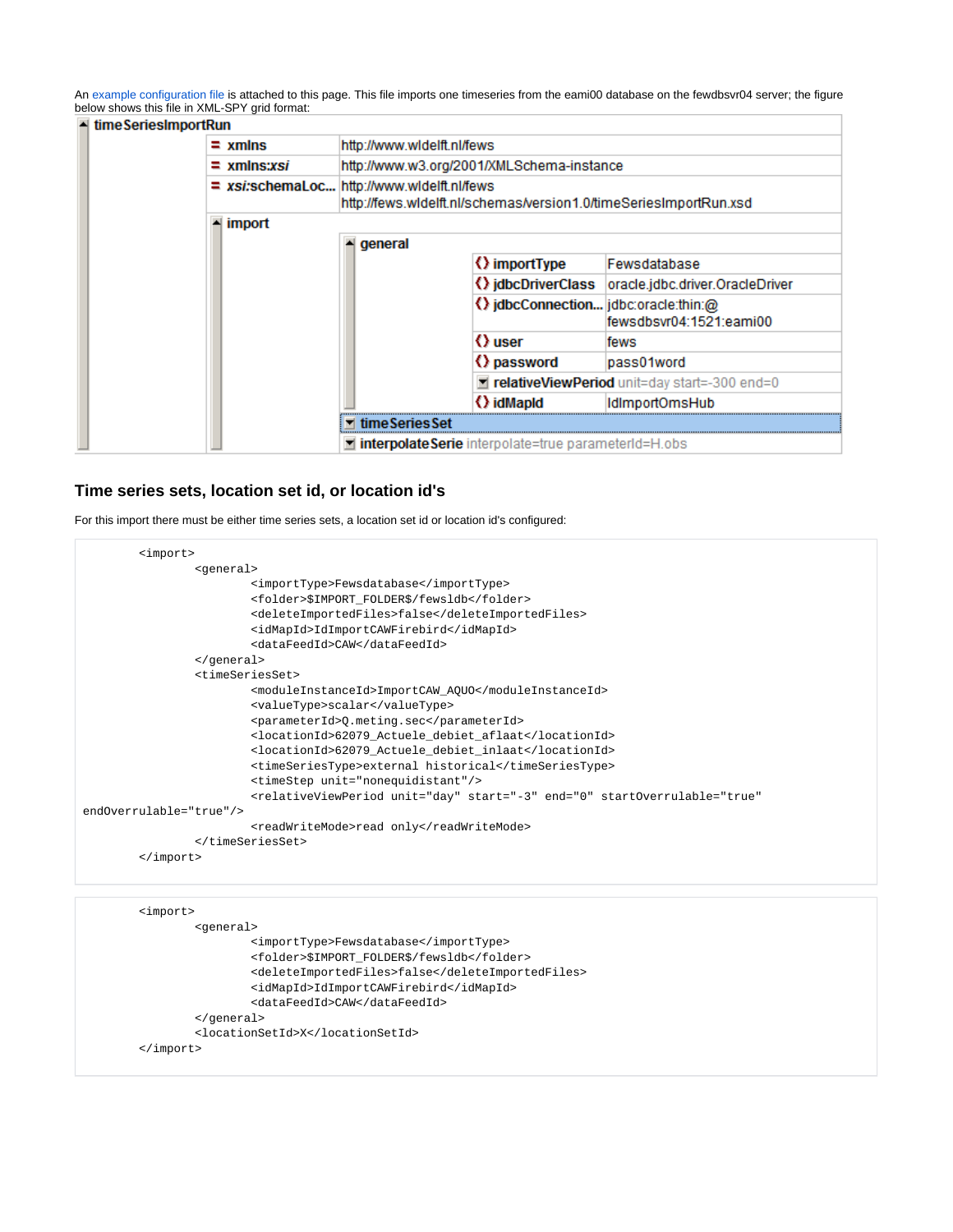An [example configuration file](https://publicwiki.deltares.nl/download/attachments/8683846/ImportOmsHub%201.00%20default.xml?version=2&modificationDate=1646981585197&api=v2) is attached to this page. This file imports one timeseries from the eami00 database on the fewdbsvr04 server; the figure below shows this file in XML-SPY grid format:

|  | $\blacksquare$ time Series Import Run |                                                            |                                                                                                                 |                                                            |                                 |  |  |
|--|---------------------------------------|------------------------------------------------------------|-----------------------------------------------------------------------------------------------------------------|------------------------------------------------------------|---------------------------------|--|--|
|  |                                       | http://www.widelft.nl/fews<br>$=$ xmlns                    |                                                                                                                 |                                                            |                                 |  |  |
|  |                                       | http://www.w3.org/2001/XMLSchema-instance<br>$=$ xmlns:xsi |                                                                                                                 |                                                            |                                 |  |  |
|  |                                       |                                                            | = xsi:schemaLoc http://www.widelft.nl/fews<br>http://fews.widelft.nl/schemas/version1.0/timeSeriesImportRun.xsd |                                                            |                                 |  |  |
|  |                                       | import<br>ᅬ                                                | general<br>ᅬ                                                                                                    |                                                            |                                 |  |  |
|  |                                       |                                                            |                                                                                                                 | () importType                                              | Fewsdatabase                    |  |  |
|  |                                       |                                                            |                                                                                                                 | () idbcDriverClass                                         | oracle.jdbc.driver.OracleDriver |  |  |
|  |                                       |                                                            |                                                                                                                 | () jdbcConnection jdbc:oracle:thin:@                       | fewsdbsvr04:1521:eami00         |  |  |
|  |                                       |                                                            |                                                                                                                 | () user                                                    | fews                            |  |  |
|  |                                       |                                                            |                                                                                                                 | () password                                                | pass01word                      |  |  |
|  |                                       |                                                            |                                                                                                                 | relativeViewPeriod unit=day start=-300 end=0               |                                 |  |  |
|  |                                       |                                                            |                                                                                                                 | () idMapId                                                 | IdlmportOmsHub                  |  |  |
|  |                                       |                                                            | ▼ timeSeriesSet                                                                                                 |                                                            |                                 |  |  |
|  |                                       |                                                            |                                                                                                                 | <b>dimerbolateSerie</b> interpolate=true parameterId=H.obs |                                 |  |  |

## <span id="page-1-0"></span>**Time series sets, location set id, or location id's**

For this import there must be either time series sets, a location set id or location id's configured:

```
 <import>
                 <general>
                         <importType>Fewsdatabase</importType>
                          <folder>$IMPORT_FOLDER$/fewsldb</folder>
                         <deleteImportedFiles>false</deleteImportedFiles>
                         <idMapId>IdImportCAWFirebird</idMapId>
                         <dataFeedId>CAW</dataFeedId>
                 </general>
                 <timeSeriesSet>
                         <moduleInstanceId>ImportCAW_AQUO</moduleInstanceId>
                          <valueType>scalar</valueType>
                         <parameterId>Q.meting.sec</parameterId>
                         <locationId>62079_Actuele_debiet_aflaat</locationId>
                         <locationId>62079_Actuele_debiet_inlaat</locationId>
                         <timeSeriesType>external historical</timeSeriesType>
                         <timeStep unit="nonequidistant"/>
                         <relativeViewPeriod unit="day" start="-3" end="0" startOverrulable="true" 
endOverrulable="true"/>
                        <readWriteMode>read only</readWriteMode>
                 </timeSeriesSet>
         </import>
```

```
 <import>
         <general>
                 <importType>Fewsdatabase</importType>
                 <folder>$IMPORT_FOLDER$/fewsldb</folder>
                 <deleteImportedFiles>false</deleteImportedFiles>
                 <idMapId>IdImportCAWFirebird</idMapId>
                 <dataFeedId>CAW</dataFeedId>
         </general>
         <locationSetId>X</locationSetId>
 </import>
```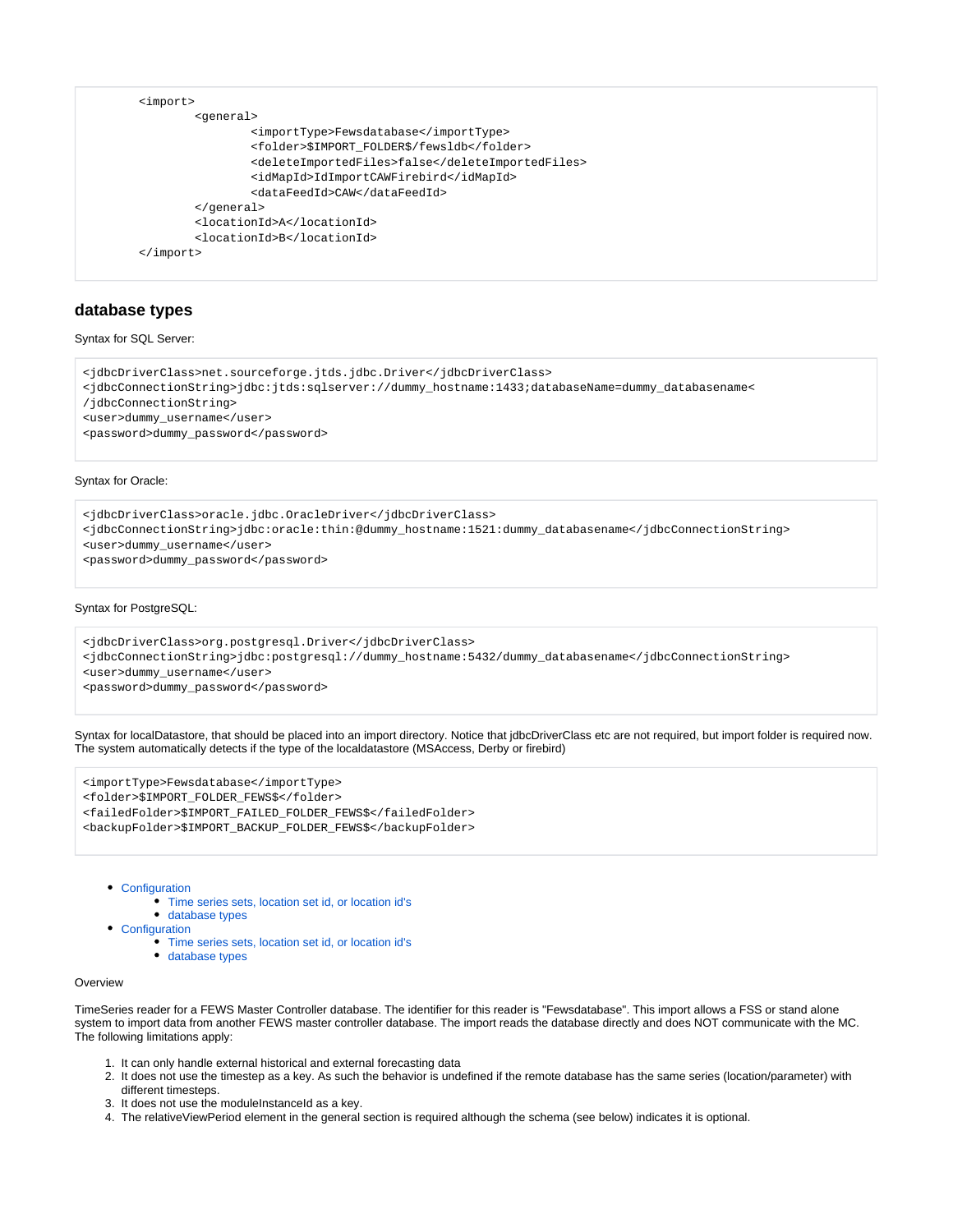```
 <import>
         <general>
                  <importType>Fewsdatabase</importType>
                  <folder>$IMPORT_FOLDER$/fewsldb</folder>
                  <deleteImportedFiles>false</deleteImportedFiles>
                  <idMapId>IdImportCAWFirebird</idMapId>
                  <dataFeedId>CAW</dataFeedId>
         </general>
         <locationId>A</locationId>
         <locationId>B</locationId>
 </import>
```
## <span id="page-2-0"></span>**database types**

#### Syntax for SQL Server:

```
<jdbcDriverClass>net.sourceforge.jtds.jdbc.Driver</jdbcDriverClass>
<jdbcConnectionString>jdbc:jtds:sqlserver://dummy_hostname:1433;databaseName=dummy_databasename<
/jdbcConnectionString>
<user>dummy_username</user>
<password>dummy_password</password>
```
#### Syntax for Oracle:

<jdbcDriverClass>oracle.jdbc.OracleDriver</jdbcDriverClass>

<jdbcConnectionString>jdbc:oracle:thin:@dummy\_hostname:1521:dummy\_databasename</jdbcConnectionString>

<user>dummy\_username</user>

<password>dummy\_password</password>

#### Syntax for PostgreSQL:

<jdbcDriverClass>org.postgresql.Driver</jdbcDriverClass>

<jdbcConnectionString>jdbc:postgresql://dummy\_hostname:5432/dummy\_databasename</jdbcConnectionString>

<user>dummy\_username</user>

<password>dummy\_password</password>

Syntax for localDatastore, that should be placed into an import directory. Notice that jdbcDriverClass etc are not required, but import folder is required now. The system automatically detects if the type of the localdatastore (MSAccess, Derby or firebird)

```
<importType>Fewsdatabase</importType>
<folder>$IMPORT_FOLDER_FEWS$</folder>
<failedFolder>$IMPORT_FAILED_FOLDER_FEWS$</failedFolder>
<backupFolder>$IMPORT_BACKUP_FOLDER_FEWS$</backupFolder>
```
• [Configuration](#page-0-0)

- [Time series sets, location set id, or location id's](#page-1-0)
- [database types](#page-2-0)
- [Configuration](#page-2-1)
	- [Time series sets, location set id, or location id's](#page-3-0)
	- [database types](#page-4-0)

#### **Overview**

TimeSeries reader for a FEWS Master Controller database. The identifier for this reader is "Fewsdatabase". This import allows a FSS or stand alone system to import data from another FEWS master controller database. The import reads the database directly and does NOT communicate with the MC. The following limitations apply:

- 1. It can only handle external historical and external forecasting data
- 2. It does not use the timestep as a key. As such the behavior is undefined if the remote database has the same series (location/parameter) with different timesteps.
- 3. It does not use the moduleInstanceId as a key.

<span id="page-2-1"></span>4. The relativeViewPeriod element in the general section is required although the schema (see below) indicates it is optional.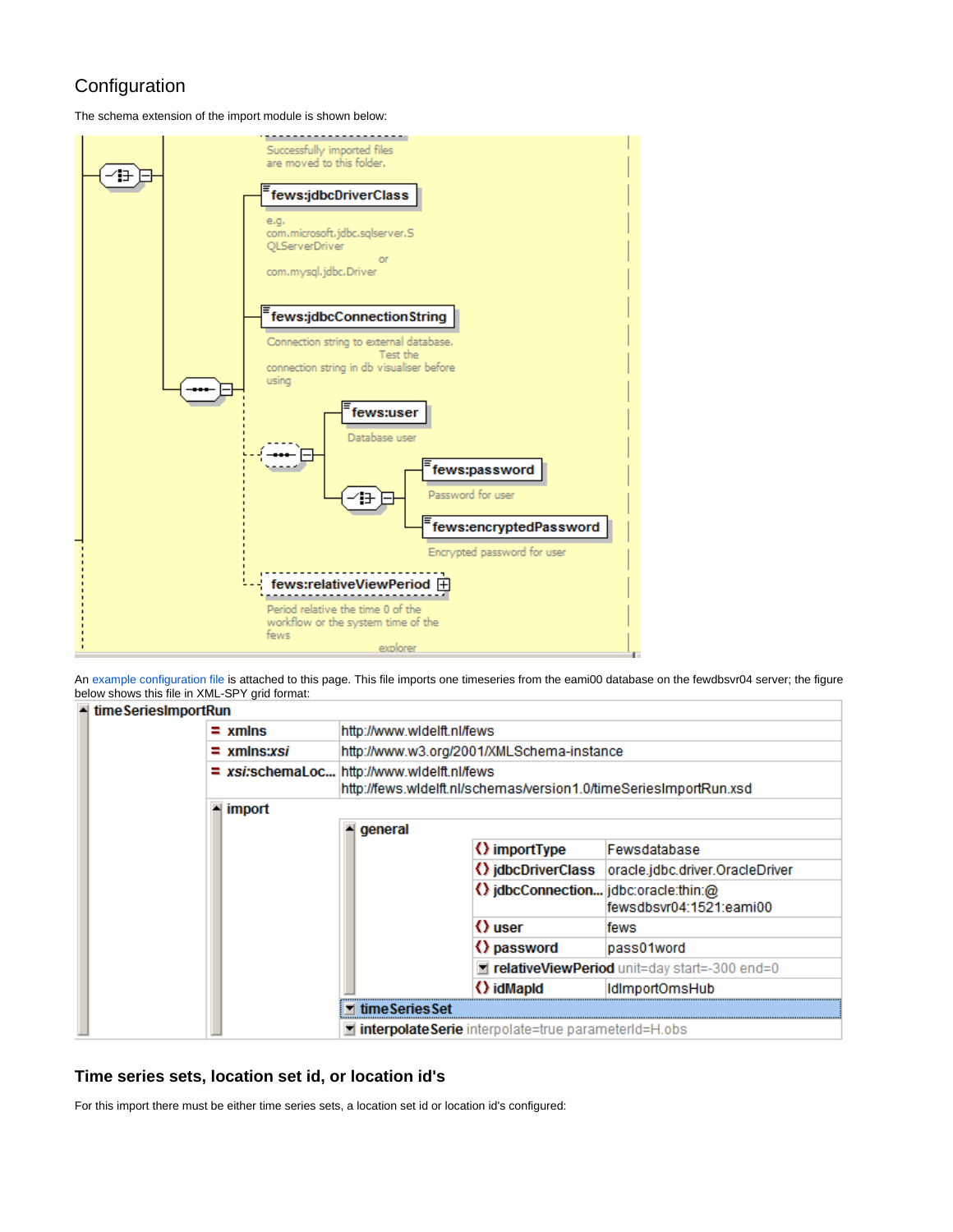## Configuration

The schema extension of the import module is shown below:



An [example configuration file](https://publicwiki.deltares.nl/download/attachments/8683846/ImportOmsHub%201.00%20default.xml?version=2&modificationDate=1646981585197&api=v2) is attached to this page. This file imports one timeseries from the eami00 database on the fewdbsvr04 server; the figure below shows this file in XML-SPY grid format:



## <span id="page-3-0"></span>**Time series sets, location set id, or location id's**

For this import there must be either time series sets, a location set id or location id's configured: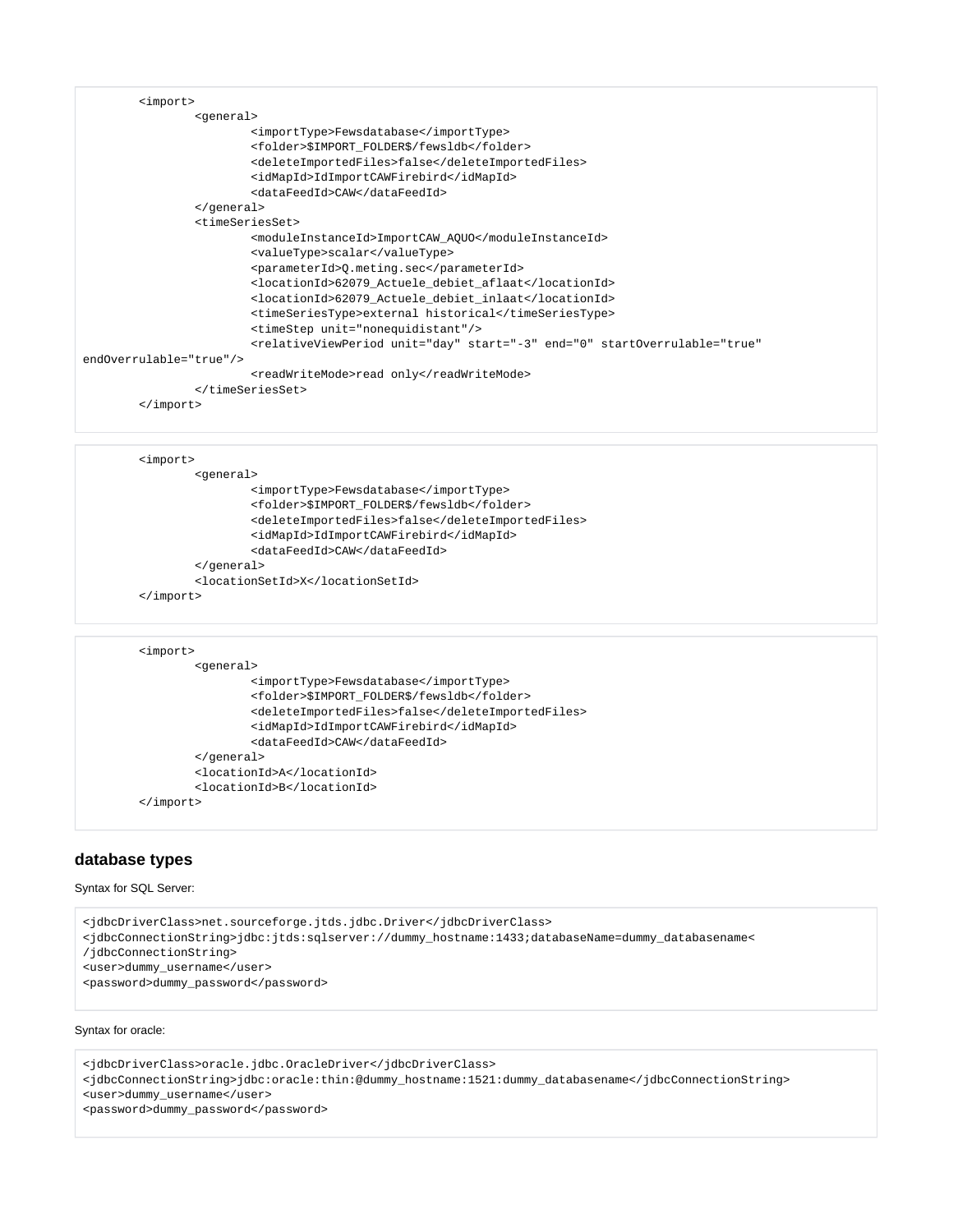|  | $\langle$ import>                                                                                                   |  |  |  |  |
|--|---------------------------------------------------------------------------------------------------------------------|--|--|--|--|
|  | <general></general>                                                                                                 |  |  |  |  |
|  | <importtype>Fewsdatabase</importtype>                                                                               |  |  |  |  |
|  | <folder>\$IMPORT FOLDER\$/fewsldb</folder>                                                                          |  |  |  |  |
|  | <deleteimportedfiles>false</deleteimportedfiles>                                                                    |  |  |  |  |
|  | <idmapid>IdImportCAWFirebird</idmapid>                                                                              |  |  |  |  |
|  | <datafeedid>CAW</datafeedid>                                                                                        |  |  |  |  |
|  |                                                                                                                     |  |  |  |  |
|  | <timeseriesset></timeseriesset>                                                                                     |  |  |  |  |
|  | <moduleinstanceid>ImportCAW_AQUO</moduleinstanceid>                                                                 |  |  |  |  |
|  | <valuetype>scalar</valuetype>                                                                                       |  |  |  |  |
|  | <parameterid>0.meting.sec</parameterid>                                                                             |  |  |  |  |
|  | <locationid>62079_Actuele_debiet_aflaat</locationid>                                                                |  |  |  |  |
|  | <locationid>62079_Actuele_debiet_inlaat</locationid>                                                                |  |  |  |  |
|  | <timeseriestype>external historical</timeseriestype>                                                                |  |  |  |  |
|  | <timestep unit="nonequidistant"></timestep>                                                                         |  |  |  |  |
|  | <relativeviewperiod <="" end="0" start="-3" startoverrulable="true" th="" unit="day"><th></th></relativeviewperiod> |  |  |  |  |
|  | endOverrulable="true"/>                                                                                             |  |  |  |  |
|  | <readwritemode>read only</readwritemode>                                                                            |  |  |  |  |
|  |                                                                                                                     |  |  |  |  |
|  | $\langle$ import>                                                                                                   |  |  |  |  |
|  |                                                                                                                     |  |  |  |  |

| <import></import> |                                                  |  |  |
|-------------------|--------------------------------------------------|--|--|
|                   | <general></general>                              |  |  |
|                   | <importtype>Fewsdatabase</importtype>            |  |  |
|                   | <folder>\$IMPORT FOLDER\$/fewsldb</folder>       |  |  |
|                   | <deleteimportedfiles>false</deleteimportedfiles> |  |  |
|                   | <idmapid>IdImportCAWFirebird</idmapid>           |  |  |
|                   | <datafeedid>CAW</datafeedid>                     |  |  |
|                   |                                                  |  |  |
|                   | <locationsetid>X</locationsetid>                 |  |  |
| mport>            |                                                  |  |  |

```
 <import>
         <general>
                 <importType>Fewsdatabase</importType>
                 <folder>$IMPORT_FOLDER$/fewsldb</folder>
                 <deleteImportedFiles>false</deleteImportedFiles>
                 <idMapId>IdImportCAWFirebird</idMapId>
                 <dataFeedId>CAW</dataFeedId>
         </general>
         <locationId>A</locationId>
         <locationId>B</locationId>
 </import>
```
## <span id="page-4-0"></span>**database types**

#### Syntax for SQL Server:

<jdbcDriverClass>net.sourceforge.jtds.jdbc.Driver</jdbcDriverClass>

<jdbcConnectionString>jdbc:jtds:sqlserver://dummy\_hostname:1433;databaseName=dummy\_databasename<

/jdbcConnectionString>

<user>dummy\_username</user>

<password>dummy\_password</password>

#### Syntax for oracle:

<jdbcDriverClass>oracle.jdbc.OracleDriver</jdbcDriverClass>

<jdbcConnectionString>jdbc:oracle:thin:@dummy\_hostname:1521:dummy\_databasename</jdbcConnectionString>

<user>dummy\_username</user>

<password>dummy\_password</password>